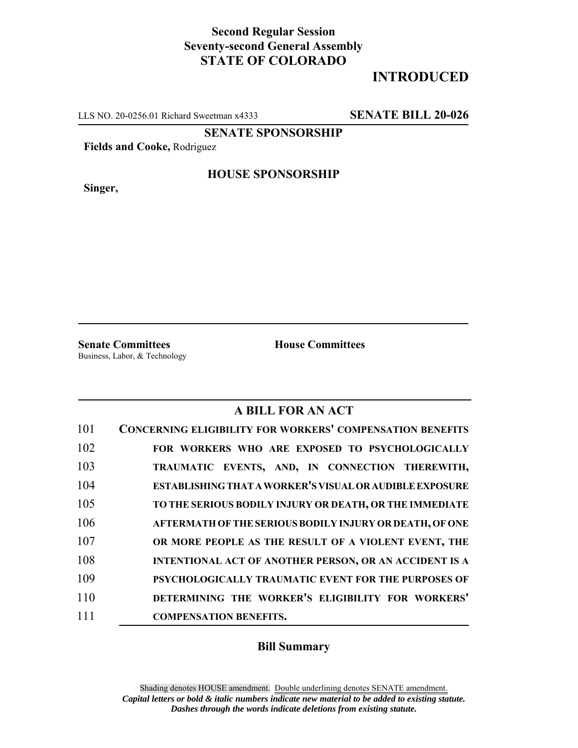## **Second Regular Session Seventy-second General Assembly STATE OF COLORADO**

# **INTRODUCED**

LLS NO. 20-0256.01 Richard Sweetman x4333 **SENATE BILL 20-026**

**SENATE SPONSORSHIP**

**Fields and Cooke,** Rodriguez

**Singer,**

#### **HOUSE SPONSORSHIP**

**Senate Committees House Committees** Business, Labor, & Technology

### **A BILL FOR AN ACT**

| 101 | <b>CONCERNING ELIGIBILITY FOR WORKERS' COMPENSATION BENEFITS</b> |
|-----|------------------------------------------------------------------|
| 102 | FOR WORKERS WHO ARE EXPOSED TO PSYCHOLOGICALLY                   |
| 103 | TRAUMATIC EVENTS, AND, IN CONNECTION THEREWITH,                  |
| 104 | ESTABLISHING THAT A WORKER'S VISUAL OR AUDIBLE EXPOSURE          |
| 105 | TO THE SERIOUS BODILY INJURY OR DEATH, OR THE IMMEDIATE          |
| 106 | AFTERMATH OF THE SERIOUS BODILY INJURY OR DEATH, OF ONE          |
| 107 | OR MORE PEOPLE AS THE RESULT OF A VIOLENT EVENT, THE             |
| 108 | <b>INTENTIONAL ACT OF ANOTHER PERSON, OR AN ACCIDENT IS A</b>    |
| 109 | PSYCHOLOGICALLY TRAUMATIC EVENT FOR THE PURPOSES OF              |
| 110 | DETERMINING THE WORKER'S ELIGIBILITY FOR WORKERS'                |
| 111 | <b>COMPENSATION BENEFITS.</b>                                    |

#### **Bill Summary**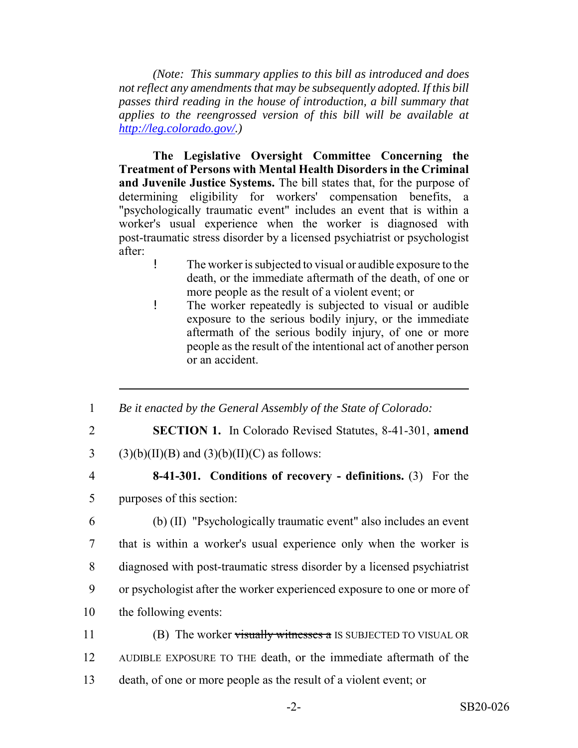*(Note: This summary applies to this bill as introduced and does not reflect any amendments that may be subsequently adopted. If this bill passes third reading in the house of introduction, a bill summary that applies to the reengrossed version of this bill will be available at http://leg.colorado.gov/.)*

**The Legislative Oversight Committee Concerning the Treatment of Persons with Mental Health Disorders in the Criminal and Juvenile Justice Systems.** The bill states that, for the purpose of determining eligibility for workers' compensation benefits, a "psychologically traumatic event" includes an event that is within a worker's usual experience when the worker is diagnosed with post-traumatic stress disorder by a licensed psychiatrist or psychologist after:

- ! The worker is subjected to visual or audible exposure to the death, or the immediate aftermath of the death, of one or more people as the result of a violent event; or
- ! The worker repeatedly is subjected to visual or audible exposure to the serious bodily injury, or the immediate aftermath of the serious bodily injury, of one or more people as the result of the intentional act of another person or an accident.
- 1 *Be it enacted by the General Assembly of the State of Colorado:*
- 
- 2 **SECTION 1.** In Colorado Revised Statutes, 8-41-301, **amend**
- 3 (3)(b)(II)(B) and (3)(b)(II)(C) as follows:
- 

# 4 **8-41-301. Conditions of recovery - definitions.** (3) For the

- 5 purposes of this section:
- 6 (b) (II) "Psychologically traumatic event" also includes an event 7 that is within a worker's usual experience only when the worker is 8 diagnosed with post-traumatic stress disorder by a licensed psychiatrist 9 or psychologist after the worker experienced exposure to one or more of 10 the following events:
- 11 (B) The worker visually witnesses a IS SUBJECTED TO VISUAL OR 12 AUDIBLE EXPOSURE TO THE death, or the immediate aftermath of the 13 death, of one or more people as the result of a violent event; or